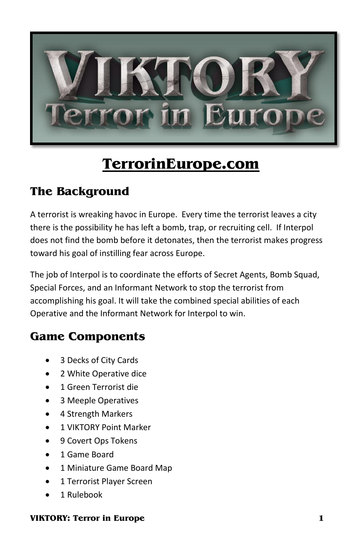

# **TerrorinEurope.com**

# **The Background**

A terrorist is wreaking havoc in Europe. Every time the terrorist leaves a city there is the possibility he has left a bomb, trap, or recruiting cell. If Interpol does not find the bomb before it detonates, then the terrorist makes progress toward his goal of instilling fear across Europe.

The job of Interpol is to coordinate the efforts of Secret Agents, Bomb Squad, Special Forces, and an Informant Network to stop the terrorist from accomplishing his goal. It will take the combined special abilities of each Operative and the Informant Network for Interpol to win.

# **Game Components**

- 3 Decks of City Cards
- 2 White Operative dice
- 1 Green Terrorist die
- 3 Meeple Operatives
- 4 Strength Markers
- 1 VIKTORY Point Marker
- 9 Covert Ops Tokens
- 1 Game Board
- 1 Miniature Game Board Map
- 1 Terrorist Player Screen
- 1 Rulebook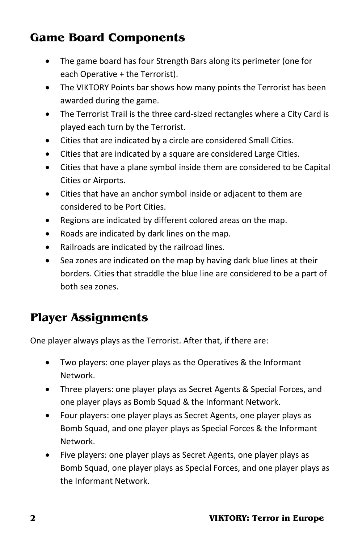# **Game Board Components**

- The game board has four Strength Bars along its perimeter (one for each Operative + the Terrorist).
- The VIKTORY Points bar shows how many points the Terrorist has been awarded during the game.
- The Terrorist Trail is the three card-sized rectangles where a City Card is played each turn by the Terrorist.
- Cities that are indicated by a circle are considered Small Cities.
- Cities that are indicated by a square are considered Large Cities.
- Cities that have a plane symbol inside them are considered to be Capital Cities or Airports.
- Cities that have an anchor symbol inside or adjacent to them are considered to be Port Cities.
- Regions are indicated by different colored areas on the map.
- Roads are indicated by dark lines on the map.
- Railroads are indicated by the railroad lines.
- Sea zones are indicated on the map by having dark blue lines at their borders. Cities that straddle the blue line are considered to be a part of both sea zones.

# **Player Assignments**

One player always plays as the Terrorist. After that, if there are:

- Two players: one player plays as the Operatives & the Informant Network.
- Three players: one player plays as Secret Agents & Special Forces, and one player plays as Bomb Squad & the Informant Network.
- Four players: one player plays as Secret Agents, one player plays as Bomb Squad, and one player plays as Special Forces & the Informant Network.
- Five players: one player plays as Secret Agents, one player plays as Bomb Squad, one player plays as Special Forces, and one player plays as the Informant Network.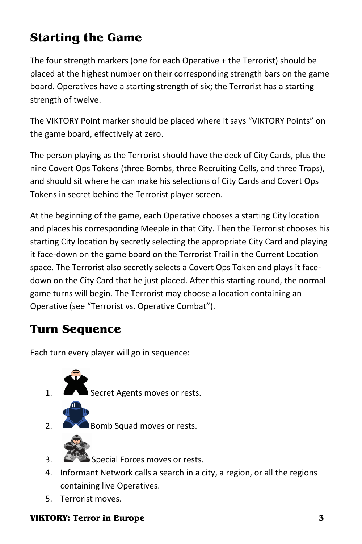# **Starting the Game**

The four strength markers (one for each Operative + the Terrorist) should be placed at the highest number on their corresponding strength bars on the game board. Operatives have a starting strength of six; the Terrorist has a starting strength of twelve.

The VIKTORY Point marker should be placed where it says "VIKTORY Points" on the game board, effectively at zero.

The person playing as the Terrorist should have the deck of City Cards, plus the nine Covert Ops Tokens (three Bombs, three Recruiting Cells, and three Traps), and should sit where he can make his selections of City Cards and Covert Ops Tokens in secret behind the Terrorist player screen.

At the beginning of the game, each Operative chooses a starting City location and places his corresponding Meeple in that City. Then the Terrorist chooses his starting City location by secretly selecting the appropriate City Card and playing it face-down on the game board on the Terrorist Trail in the Current Location space. The Terrorist also secretly selects a Covert Ops Token and plays it facedown on the City Card that he just placed. After this starting round, the normal game turns will begin. The Terrorist may choose a location containing an Operative (see "Terrorist vs. Operative Combat").

### **Turn Sequence**

Each turn every player will go in sequence:



**Secret Agents moves or rests.** 



Bomb Squad moves or rests.



- 3. Special Forces moves or rests.
- 4. Informant Network calls a search in a city, a region, or all the regions containing live Operatives.
- 5. Terrorist moves.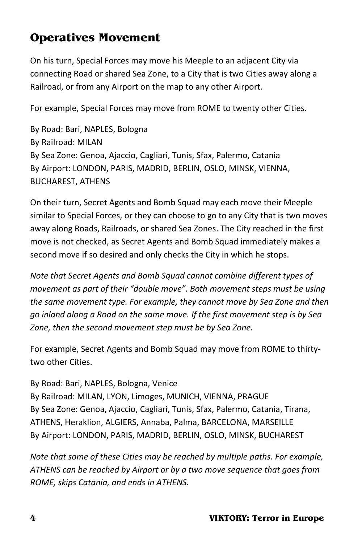# **Operatives Movement**

On his turn, Special Forces may move his Meeple to an adjacent City via connecting Road or shared Sea Zone, to a City that is two Cities away along a Railroad, or from any Airport on the map to any other Airport.

For example, Special Forces may move from ROME to twenty other Cities.

By Road: Bari, NAPLES, Bologna By Railroad: MILAN By Sea Zone: Genoa, Ajaccio, Cagliari, Tunis, Sfax, Palermo, Catania By Airport: LONDON, PARIS, MADRID, BERLIN, OSLO, MINSK, VIENNA, BUCHAREST, ATHENS

On their turn, Secret Agents and Bomb Squad may each move their Meeple similar to Special Forces, or they can choose to go to any City that is two moves away along Roads, Railroads, or shared Sea Zones. The City reached in the first move is not checked, as Secret Agents and Bomb Squad immediately makes a second move if so desired and only checks the City in which he stops.

*Note that Secret Agents and Bomb Squad cannot combine different types of movement as part of their "double move". Both movement steps must be using the same movement type. For example, they cannot move by Sea Zone and then go inland along a Road on the same move. If the first movement step is by Sea Zone, then the second movement step must be by Sea Zone.*

For example, Secret Agents and Bomb Squad may move from ROME to thirtytwo other Cities.

By Road: Bari, NAPLES, Bologna, Venice By Railroad: MILAN, LYON, Limoges, MUNICH, VIENNA, PRAGUE By Sea Zone: Genoa, Ajaccio, Cagliari, Tunis, Sfax, Palermo, Catania, Tirana, ATHENS, Heraklion, ALGIERS, Annaba, Palma, BARCELONA, MARSEILLE By Airport: LONDON, PARIS, MADRID, BERLIN, OSLO, MINSK, BUCHAREST

*Note that some of these Cities may be reached by multiple paths. For example, ATHENS can be reached by Airport or by a two move sequence that goes from ROME, skips Catania, and ends in ATHENS.*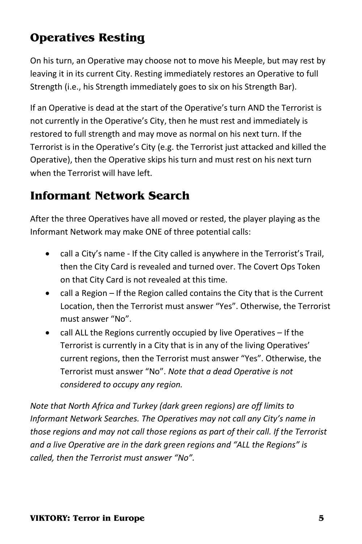# **Operatives Resting**

On his turn, an Operative may choose not to move his Meeple, but may rest by leaving it in its current City. Resting immediately restores an Operative to full Strength (i.e., his Strength immediately goes to six on his Strength Bar).

If an Operative is dead at the start of the Operative's turn AND the Terrorist is not currently in the Operative's City, then he must rest and immediately is restored to full strength and may move as normal on his next turn. If the Terrorist is in the Operative's City (e.g. the Terrorist just attacked and killed the Operative), then the Operative skips his turn and must rest on his next turn when the Terrorist will have left.

# **Informant Network Search**

After the three Operatives have all moved or rested, the player playing as the Informant Network may make ONE of three potential calls:

- call a City's name If the City called is anywhere in the Terrorist's Trail, then the City Card is revealed and turned over. The Covert Ops Token on that City Card is not revealed at this time.
- call a Region If the Region called contains the City that is the Current Location, then the Terrorist must answer "Yes". Otherwise, the Terrorist must answer "No".
- call ALL the Regions currently occupied by live Operatives If the Terrorist is currently in a City that is in any of the living Operatives' current regions, then the Terrorist must answer "Yes". Otherwise, the Terrorist must answer "No". *Note that a dead Operative is not considered to occupy any region.*

*Note that North Africa and Turkey (dark green regions) are off limits to Informant Network Searches. The Operatives may not call any City's name in those regions and may not call those regions as part of their call. If the Terrorist and a live Operative are in the dark green regions and "ALL the Regions" is called, then the Terrorist must answer "No".*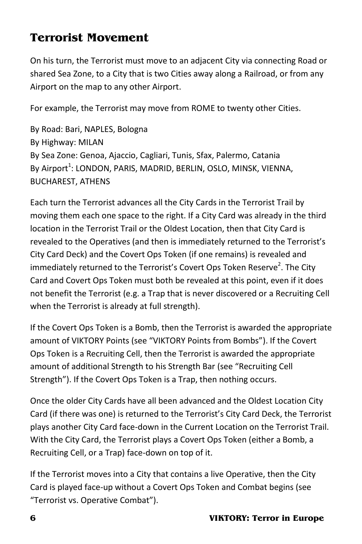# **Terrorist Movement**

On his turn, the Terrorist must move to an adjacent City via connecting Road or shared Sea Zone, to a City that is two Cities away along a Railroad, or from any Airport on the map to any other Airport.

For example, the Terrorist may move from ROME to twenty other Cities.

By Road: Bari, NAPLES, Bologna By Highway: MILAN By Sea Zone: Genoa, Ajaccio, Cagliari, Tunis, Sfax, Palermo, Catania By Airport<sup>1</sup>: LONDON, PARIS, MADRID, BERLIN, OSLO, MINSK, VIENNA, BUCHAREST, ATHENS

Each turn the Terrorist advances all the City Cards in the Terrorist Trail by moving them each one space to the right. If a City Card was already in the third location in the Terrorist Trail or the Oldest Location, then that City Card is revealed to the Operatives (and then is immediately returned to the Terrorist's City Card Deck) and the Covert Ops Token (if one remains) is revealed and immediately returned to the Terrorist's Covert Ops Token Reserve<sup>2</sup>. The City Card and Covert Ops Token must both be revealed at this point, even if it does not benefit the Terrorist (e.g. a Trap that is never discovered or a Recruiting Cell when the Terrorist is already at full strength).

If the Covert Ops Token is a Bomb, then the Terrorist is awarded the appropriate amount of VIKTORY Points (see "VIKTORY Points from Bombs"). If the Covert Ops Token is a Recruiting Cell, then the Terrorist is awarded the appropriate amount of additional Strength to his Strength Bar (see "Recruiting Cell Strength"). If the Covert Ops Token is a Trap, then nothing occurs.

Once the older City Cards have all been advanced and the Oldest Location City Card (if there was one) is returned to the Terrorist's City Card Deck, the Terrorist plays another City Card face-down in the Current Location on the Terrorist Trail. With the City Card, the Terrorist plays a Covert Ops Token (either a Bomb, a Recruiting Cell, or a Trap) face-down on top of it.

If the Terrorist moves into a City that contains a live Operative, then the City Card is played face-up without a Covert Ops Token and Combat begins (see "Terrorist vs. Operative Combat").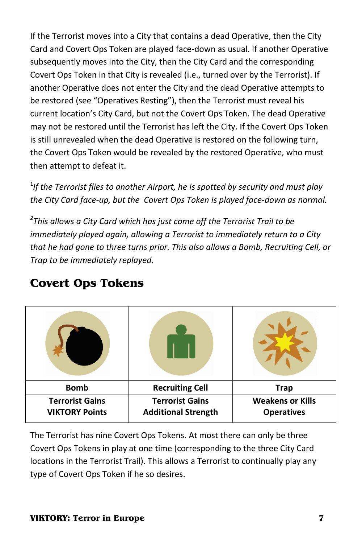If the Terrorist moves into a City that contains a dead Operative, then the City Card and Covert Ops Token are played face-down as usual. If another Operative subsequently moves into the City, then the City Card and the corresponding Covert Ops Token in that City is revealed (i.e., turned over by the Terrorist). If another Operative does not enter the City and the dead Operative attempts to be restored (see "Operatives Resting"), then the Terrorist must reveal his current location's City Card, but not the Covert Ops Token. The dead Operative may not be restored until the Terrorist has left the City. If the Covert Ops Token is still unrevealed when the dead Operative is restored on the following turn, the Covert Ops Token would be revealed by the restored Operative, who must then attempt to defeat it.

<sup>1</sup>If the Terrorist flies to another Airport, he is spotted by security and must play *the City Card face-up, but the Covert Ops Token is played face-down as normal.*

*2 This allows a City Card which has just come off the Terrorist Trail to be immediately played again, allowing a Terrorist to immediately return to a City that he had gone to three turns prior. This also allows a Bomb, Recruiting Cell, or Trap to be immediately replayed.*

| <b>Bomb</b>                                     | <b>Recruiting Cell</b>                               | <b>Trap</b>                                  |
|-------------------------------------------------|------------------------------------------------------|----------------------------------------------|
| <b>Terrorist Gains</b><br><b>VIKTORY Points</b> | <b>Terrorist Gains</b><br><b>Additional Strength</b> | <b>Weakens or Kills</b><br><b>Operatives</b> |

### **Covert Ops Tokens**

The Terrorist has nine Covert Ops Tokens. At most there can only be three Covert Ops Tokens in play at one time (corresponding to the three City Card locations in the Terrorist Trail). This allows a Terrorist to continually play any type of Covert Ops Token if he so desires.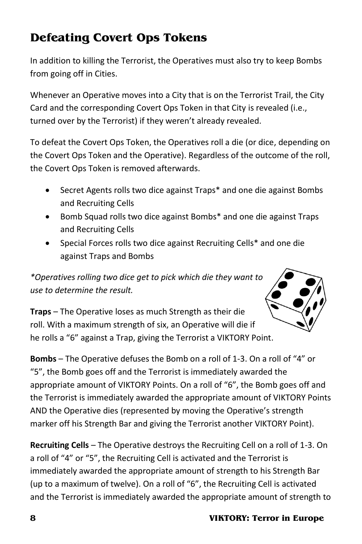# **Defeating Covert Ops Tokens**

In addition to killing the Terrorist, the Operatives must also try to keep Bombs from going off in Cities.

Whenever an Operative moves into a City that is on the Terrorist Trail, the City Card and the corresponding Covert Ops Token in that City is revealed (i.e., turned over by the Terrorist) if they weren't already revealed.

To defeat the Covert Ops Token, the Operatives roll a die (or dice, depending on the Covert Ops Token and the Operative). Regardless of the outcome of the roll, the Covert Ops Token is removed afterwards.

- Secret Agents rolls two dice against Traps\* and one die against Bombs and Recruiting Cells
- Bomb Squad rolls two dice against Bombs\* and one die against Traps and Recruiting Cells
- Special Forces rolls two dice against Recruiting Cells\* and one die against Traps and Bombs

*\*Operatives rolling two dice get to pick which die they want to use to determine the result.*



**Traps** – The Operative loses as much Strength as their die roll. With a maximum strength of six, an Operative will die if he rolls a "6" against a Trap, giving the Terrorist a VIKTORY Point.

**Bombs** – The Operative defuses the Bomb on a roll of 1-3. On a roll of "4" or "5", the Bomb goes off and the Terrorist is immediately awarded the appropriate amount of VIKTORY Points. On a roll of "6", the Bomb goes off and the Terrorist is immediately awarded the appropriate amount of VIKTORY Points AND the Operative dies (represented by moving the Operative's strength marker off his Strength Bar and giving the Terrorist another VIKTORY Point).

**Recruiting Cells** – The Operative destroys the Recruiting Cell on a roll of 1-3. On a roll of "4" or "5", the Recruiting Cell is activated and the Terrorist is immediately awarded the appropriate amount of strength to his Strength Bar (up to a maximum of twelve). On a roll of "6", the Recruiting Cell is activated and the Terrorist is immediately awarded the appropriate amount of strength to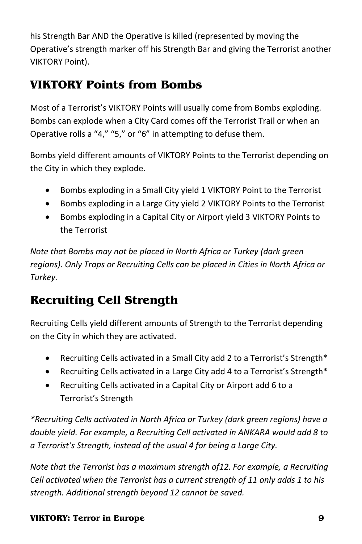his Strength Bar AND the Operative is killed (represented by moving the Operative's strength marker off his Strength Bar and giving the Terrorist another VIKTORY Point).

# **VIKTORY Points from Bombs**

Most of a Terrorist's VIKTORY Points will usually come from Bombs exploding. Bombs can explode when a City Card comes off the Terrorist Trail or when an Operative rolls a "4," "5," or "6" in attempting to defuse them.

Bombs yield different amounts of VIKTORY Points to the Terrorist depending on the City in which they explode.

- Bombs exploding in a Small City yield 1 VIKTORY Point to the Terrorist
- Bombs exploding in a Large City yield 2 VIKTORY Points to the Terrorist
- Bombs exploding in a Capital City or Airport yield 3 VIKTORY Points to the Terrorist

*Note that Bombs may not be placed in North Africa or Turkey (dark green regions). Only Traps or Recruiting Cells can be placed in Cities in North Africa or Turkey.*

# **Recruiting Cell Strength**

Recruiting Cells yield different amounts of Strength to the Terrorist depending on the City in which they are activated.

- Recruiting Cells activated in a Small City add 2 to a Terrorist's Strength\*
- Recruiting Cells activated in a Large City add 4 to a Terrorist's Strength\*
- Recruiting Cells activated in a Capital City or Airport add 6 to a Terrorist's Strength

*\*Recruiting Cells activated in North Africa or Turkey (dark green regions) have a double yield. For example, a Recruiting Cell activated in ANKARA would add 8 to a Terrorist's Strength, instead of the usual 4 for being a Large City.*

*Note that the Terrorist has a maximum strength of12. For example, a Recruiting Cell activated when the Terrorist has a current strength of 11 only adds 1 to his strength. Additional strength beyond 12 cannot be saved.*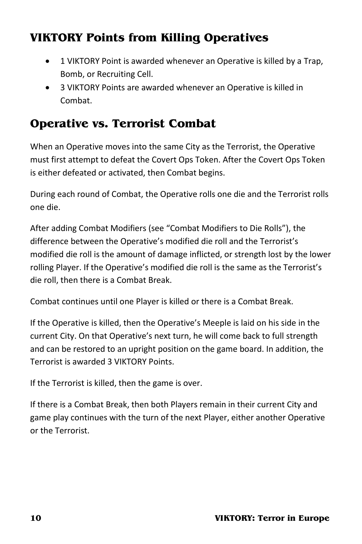# **VIKTORY Points from Killing Operatives**

- 1 VIKTORY Point is awarded whenever an Operative is killed by a Trap, Bomb, or Recruiting Cell.
- 3 VIKTORY Points are awarded whenever an Operative is killed in Combat.

### **Operative vs. Terrorist Combat**

When an Operative moves into the same City as the Terrorist, the Operative must first attempt to defeat the Covert Ops Token. After the Covert Ops Token is either defeated or activated, then Combat begins.

During each round of Combat, the Operative rolls one die and the Terrorist rolls one die.

After adding Combat Modifiers (see "Combat Modifiers to Die Rolls"), the difference between the Operative's modified die roll and the Terrorist's modified die roll is the amount of damage inflicted, or strength lost by the lower rolling Player. If the Operative's modified die roll is the same as the Terrorist's die roll, then there is a Combat Break.

Combat continues until one Player is killed or there is a Combat Break.

If the Operative is killed, then the Operative's Meeple is laid on his side in the current City. On that Operative's next turn, he will come back to full strength and can be restored to an upright position on the game board. In addition, the Terrorist is awarded 3 VIKTORY Points.

If the Terrorist is killed, then the game is over.

If there is a Combat Break, then both Players remain in their current City and game play continues with the turn of the next Player, either another Operative or the Terrorist.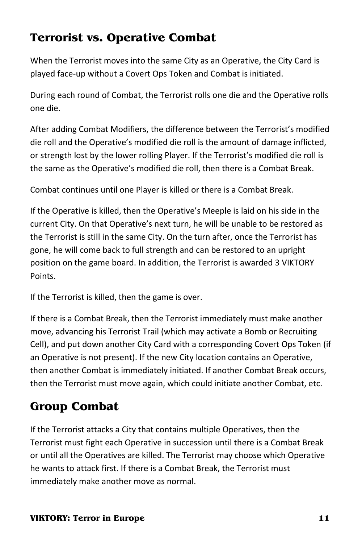# **Terrorist vs. Operative Combat**

When the Terrorist moves into the same City as an Operative, the City Card is played face-up without a Covert Ops Token and Combat is initiated.

During each round of Combat, the Terrorist rolls one die and the Operative rolls one die.

After adding Combat Modifiers, the difference between the Terrorist's modified die roll and the Operative's modified die roll is the amount of damage inflicted, or strength lost by the lower rolling Player. If the Terrorist's modified die roll is the same as the Operative's modified die roll, then there is a Combat Break.

Combat continues until one Player is killed or there is a Combat Break.

If the Operative is killed, then the Operative's Meeple is laid on his side in the current City. On that Operative's next turn, he will be unable to be restored as the Terrorist is still in the same City. On the turn after, once the Terrorist has gone, he will come back to full strength and can be restored to an upright position on the game board. In addition, the Terrorist is awarded 3 VIKTORY Points.

If the Terrorist is killed, then the game is over.

If there is a Combat Break, then the Terrorist immediately must make another move, advancing his Terrorist Trail (which may activate a Bomb or Recruiting Cell), and put down another City Card with a corresponding Covert Ops Token (if an Operative is not present). If the new City location contains an Operative, then another Combat is immediately initiated. If another Combat Break occurs, then the Terrorist must move again, which could initiate another Combat, etc.

# **Group Combat**

If the Terrorist attacks a City that contains multiple Operatives, then the Terrorist must fight each Operative in succession until there is a Combat Break or until all the Operatives are killed. The Terrorist may choose which Operative he wants to attack first. If there is a Combat Break, the Terrorist must immediately make another move as normal.